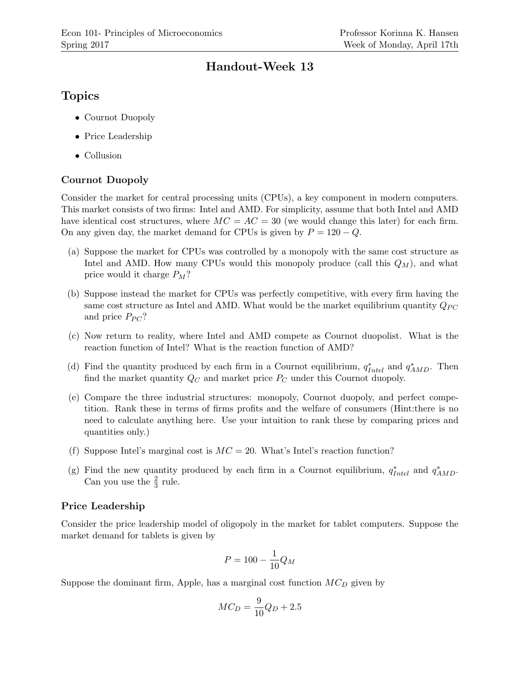# Handout-Week 13

# Topics

- Cournot Duopoly
- Price Leadership
- Collusion

## Cournot Duopoly

Consider the market for central processing units (CPUs), a key component in modern computers. This market consists of two firms: Intel and AMD. For simplicity, assume that both Intel and AMD have identical cost structures, where  $MC = AC = 30$  (we would change this later) for each firm. On any given day, the market demand for CPUs is given by  $P = 120 - Q$ .

- (a) Suppose the market for CPUs was controlled by a monopoly with the same cost structure as Intel and AMD. How many CPUs would this monopoly produce (call this  $Q_M$ ), and what price would it charge  $P_M$ ?
- (b) Suppose instead the market for CPUs was perfectly competitive, with every firm having the same cost structure as Intel and AMD. What would be the market equilibrium quantity  $Q_{PC}$ and price  $P_{PC}$ ?
- (c) Now return to reality, where Intel and AMD compete as Cournot duopolist. What is the reaction function of Intel? What is the reaction function of AMD?
- (d) Find the quantity produced by each firm in a Cournot equilibrium,  $q_{Intel}^*$  and  $q_{AMD}^*$ . Then find the market quantity  $Q_C$  and market price  $P_C$  under this Cournot duopoly.
- (e) Compare the three industrial structures: monopoly, Cournot duopoly, and perfect competition. Rank these in terms of firms profits and the welfare of consumers (Hint:there is no need to calculate anything here. Use your intuition to rank these by comparing prices and quantities only.)
- (f) Suppose Intel's marginal cost is  $MC = 20$ . What's Intel's reaction function?
- (g) Find the new quantity produced by each firm in a Cournot equilibrium,  $q_{Intel}^*$  and  $q_{AMD}^*$ . Can you use the  $\frac{2}{3}$  rule.

### Price Leadership

Consider the price leadership model of oligopoly in the market for tablet computers. Suppose the market demand for tablets is given by

$$
P=100-\frac{1}{10}Q_M
$$

Suppose the dominant firm, Apple, has a marginal cost function  $MC<sub>D</sub>$  given by

$$
MC_D = \frac{9}{10}Q_D + 2.5
$$